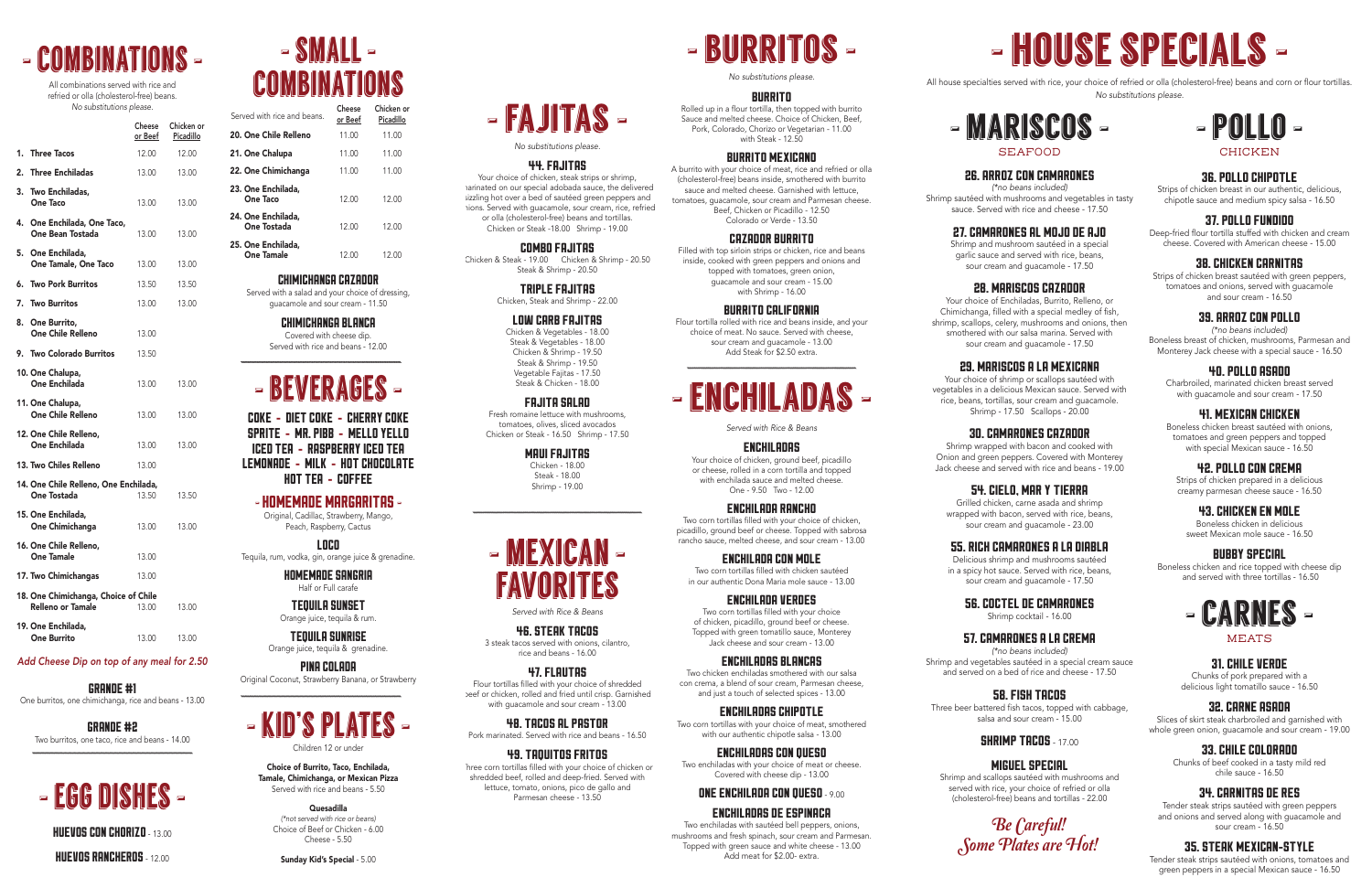

All combinations served with rice and refried or olla (cholesterol-free) beans. *No substitutions please.*

19. One Enchilada, **One Burrito** 13.00 13.00

|                                                                  | Cheese<br>or Beef | Chicken or<br>Picadillo |
|------------------------------------------------------------------|-------------------|-------------------------|
| <b>Three Tacos</b><br>1.                                         | 12.00             | 12.00                   |
| <b>Three Enchiladas</b><br>2.                                    | 13.00             | 13.00                   |
| 3.<br>Two Enchiladas,<br><b>One Taco</b>                         | 13.00             | 13.00                   |
| 4.<br>One Enchilada, One Taco,<br><b>One Bean Tostada</b>        | 13.00             | 13.00                   |
| 5. One Enchilada,<br>One Tamale, One Taco                        | 13.00             | 13.00                   |
| 6.<br><b>Two Pork Burritos</b>                                   | 13.50             | 13.50                   |
| 7.<br><b>Two Burritos</b>                                        | 13.00             | 13.00                   |
| 8. One Burrito,<br>One Chile Relleno                             | 13.00             |                         |
| <b>Two Colorado Burritos</b><br>9.                               | 13.50             |                         |
| 10. One Chalupa,<br>One Enchilada                                | 13.00             | 13.00                   |
| 11. One Chalupa,<br><b>One Chile Relleno</b>                     | 13.00             | 13.00                   |
| 12. One Chile Relleno,<br>One Enchilada                          | 13.00             | 13.00                   |
| 13. Two Chiles Relleno                                           | 13.00             |                         |
| 14. One Chile Relleno, One Enchilada,<br>One Tostada             | 13.50             | 13.50                   |
| 15. One Enchilada,<br>One Chimichanga                            | 13.00             | 13.00                   |
| 16. One Chile Relleno,<br><b>One Tamale</b>                      | 13.00             |                         |
| 17. Two Chimichangas                                             | 13.00             |                         |
| 18. One Chimichanga, Choice of Chile<br><b>Relleno or Tamale</b> | 13.00             | 13.00                   |

# - small - **COMBINATIONS**

#### *Add Cheese Dip on top of any meal for 2.50*

GRANDE #1 One burritos, one chimichanga, rice and beans - 13.00

GRANDE #2 Two burritos, one taco, rice and beans - 14.00

# - egg dishes -

HUEVOS CON CHORIZO - 13.00

HUEVOS RANCHEROS - 12.00

CHIMICHANGA CAZADOR

Strips of chicken breast sautéed with green peppers, tomatoes and onions, served with guacamole and sour cream - 16.50

Served with a salad and your choice of dressing, guacamole and sour cream - 11.50

> CHIMICHANGA BLANCA Covered with cheese dip. Served with rice and beans - 12.00

# - beverages -

COKE - DIET COKE - CHERRY COKE SPRITE - MR. PIBB - MELLO YELLO ICED TEA - RASPBERRY ICED TEA LEMONADE - MILK - HOT CHOCOLATE HOT TEA - COFFEE

# -HOMEMADE MARGARITAS -

| Served with rice and beans.             | Cheese<br>or Beef | Chicken or<br>Picadillo |
|-----------------------------------------|-------------------|-------------------------|
| 20. One Chile Relleno                   | 11.00             | 11.00                   |
| 21. One Chalupa                         | 11.00             | 11.00                   |
| 22. One Chimichanga                     | 11.00             | 11.00                   |
| 23. One Enchilada.<br>One Taco          | 12.00             | 12.00                   |
| 24. One Enchilada,<br>One Tostada       | 12.00             | 12.00                   |
| 25. One Enchilada,<br><b>One Tamale</b> | 12(00)            | 12.00                   |

Original, Cadillac, Strawberry, Mango, Peach, Raspberry, Cactus

LOCO

Tequila, rum, vodka, gin, orange juice & grenadine. HOMEMADE SANGRIA

Half or Full carafe

TEQUILA SUNSET Orange juice, tequila & rum.

TEQUILA SUNRISE Orange juice, tequila & grenadine.

PINA COLADA Original Coconut, Strawberry Banana, or Strawberry

# - kid's plates - Children 12 or under

Choice of Burrito, Taco, Enchilada, Tamale, Chimichanga, or Mexican Pizza Served with rice and beans - 5.50

> Quesadilla *(\*not served with rice or beans)* Choice of Beef or Chicken - 6.00 Cheese - 5.50

Sunday Kid's Special - 5.00

# - house specials -

All house specialties served with rice, your choice of refried or olla (cholesterol-free) beans and corn or flour tortillas. *No substitutions please.*



## 36. POLLO CHIPOTLE

Strips of chicken breast in our authentic, delicious, chipotle sauce and medium spicy salsa - 16.50

### 37. POLLO FUNDIDO

Deep-fried flour tortilla stuffed with chicken and cream cheese. Covered with American cheese - 15.00

# 38. CHICKEN CARNITAS

# 39. ARROZ CON POLLO

*(\*no beans included)* Boneless breast of chicken, mushrooms, Parmesan and Monterey Jack cheese with a special sauce - 16.50

# 4O. POLLO ASADO

Charbroiled, marinated chicken breast served with guacamole and sour cream - 17.50

# 41. MEXICAN CHICKEN

Boneless chicken breast sautéed with onions, tomatoes and green peppers and topped with special Mexican sauce - 16.50

# 42. POLLO CON CREMA

Strips of chicken prepared in a delicious creamy parmesan cheese sauce - 16.50

# 43. CHICKEN EN MOLE

Boneless chicken in delicious sweet Mexican mole sauce - 16.50

## BUBBY SPECIAL

Boneless chicken and rice topped with cheese dip and served with three tortillas - 16.50



#### MEATS

### 31. CHILE VERDE

Chunks of pork prepared with a delicious light tomatillo sauce - 16.50

# 32. CARNE ASADA

Slices of skirt steak charbroiled and garnished with whole green onion, guacamole and sour cream - 19.00

# 33. CHILE COLORADO

Chunks of beef cooked in a tasty mild red chile sauce - 16.50

# 34. CARNITAS DE RES

Tender steak strips sautéed with green peppers and onions and served along with guacamole and sour cream - 16.50

# 35. STEAK MEXICAN-STYLE

Tender steak strips sautéed with onions, tomatoes and green peppers in a special Mexican sauce - 16.50



# 26. ARROZ CON CAMARONES

*(\*no beans included)* Shrimp sautéed with mushrooms and vegetables in tasty sauce. Served with rice and cheese - 17.50

# 27. CAMARONES AL MOJO DE AJO

Shrimp and mushroom sautéed in a special garlic sauce and served with rice, beans, sour cream and guacamole - 17.50

# 28. MARISCOS CAZADOR

Your choice of Enchiladas, Burrito, Relleno, or Chimichanga, filled with a special medley of fish, shrimp, scallops, celery, mushrooms and onions, then smothered with our salsa marina. Served with sour cream and guacamole - 17.50

## 29. MARISCOS A LA MEXICANA

Your choice of shrimp or scallops sautéed with vegetables in a delicious Mexican sauce. Served with rice, beans, tortillas, sour cream and guacamole. Shrimp - 17.50 Scallops - 20.00

## 3O. CAMARONES CAZADOR

Shrimp wrapped with bacon and cooked with Onion and green peppers. Covered with Monterey Jack cheese and served with rice and beans - 19.00

# 54. CIELO, MAR Y TIERRA

Grilled chicken, carne asada and shrimp wrapped with bacon, served with rice, beans, sour cream and guacamole - 23.00

# 55. RICH CAMARONES A LA DIABLA

Delicious shrimp and mushrooms sautéed in a spicy hot sauce. Served with rice, beans, sour cream and guacamole - 17.50

### 56. COCTEL DE CAMARONES

Shrimp cocktail - 16.00

## 57. CAMARONES A LA CREMA

*(\*no beans included)* Shrimp and vegetables sautéed in a special cream sauce and served on a bed of rice and cheese - 17.50

## 58. FISH TACOS

Three beer battered fish tacos, topped with cabbage, salsa and sour cream - 15.00

# **SHRIMP TACOS - 17.00**

## MIGUEL SPECIAL

Shrimp and scallops sautéed with mushrooms and served with rice, your choice of refried or olla (cholesterol-free) beans and tortillas - 22.00

 $-$  MEXICAN -



- fajitas -

*No substitutions please.* 44. FAJITAS Your choice of chicken, steak strips or shrimp, marinated on our special adobada sauce, the delivered sizzling hot over a bed of sautéed green peppers and hions. Served with quacamole, sour cream, rice, refried or olla (cholesterol-free) beans and tortillas. Chicken or Steak -18.00 Shrimp - 19.00 COMBO FAJITAS Chicken & Steak - 19.00 Chicken & Shrimp - 20.50 Steak & Shrimp - 20.50 TRIPLE FAJITAS Chicken, Steak and Shrimp - 22.00 LOW CARB FAJITAS Chicken & Vegetables - 18.00 Steak & Vegetables - 18.00 Chicken & Shrimp - 19.50 Steak & Shrimp - 19.50 Vegetable Fajitas - 17.50 Steak & Chicken - 18.00 FAJITA SALAD Fresh romaine lettuce with mushrooms, tomatoes, olives, sliced avocados Chicken or Steak - 16.50 Shrimp - 17.50 MAUI FAJITAS Chicken - 18.00 Steak - 18.00 Shrimp - 19.00

*Served with Rice & Beans*

46. STEAK TACOS 3 steak tacos served with onions, cilantro, rice and beans - 16.00

47. FLAUTAS Flour tortillas filled with your choice of shredded beef or chicken, rolled and fried until crisp. Garnished with guacamole and sour cream - 13.00

# 48. TACOS AL PASTOR

hree corn tortillas filled with your choice of chicken or

Pork marinated. Served with rice and beans - 16.50

## 49. TAQUITOS FRITOS

shredded beef, rolled and deep-fried. Served with lettuce, tomato, onions, pico de gallo and Parmesan cheese - 13.50

- burritos -

*No substitutions please.*

#### BURRITO

Rolled up in a flour tortilla, then topped with burrito Sauce and melted cheese. Choice of Chicken, Beef, Pork, Colorado, Chorizo or Vegetarian - 11.00 with Steak - 12.50

#### BURRITO MEXICANO

A burrito with your choice of meat, rice and refried or olla (cholesterol-free) beans inside, smothered with burrito sauce and melted cheese. Garnished with lettuce, tomatoes, guacamole, sour cream and Parmesan cheese. Beef, Chicken or Picadillo - 12.50 Colorado or Verde - 13.50

#### CAZADOR BURRITO

Filled with top sirloin strips or chicken, rice and beans inside, cooked with green peppers and onions and topped with tomatoes, green onion, guacamole and sour cream - 15.00 with Shrimp - 16.00

#### BURRITO CALIFORNIA

Flour tortilla rolled with rice and beans inside, and your choice of meat. No sauce. Served with cheese, sour cream and guacamole - 13.00 Add Steak for \$2.50 extra.

# $-$  enchange

*Served with Rice & Beans*

#### ENCHILADAS

Your choice of chicken, ground beef, picadillo or cheese, rolled in a corn tortilla and topped with enchilada sauce and melted cheese. One - 9.50 Two - 12.00

### ENCHILADA RANCHO

Two corn tortillas filled with your choice of chicken, picadillo, ground beef or cheese. Topped with sabrosa rancho sauce, melted cheese, and sour cream - 13.00

ENCHILADA CON MOLE Two corn tortillas filled with chicken sautéed in our authentic Dona Maria mole sauce - 13.00

#### ENCHILADA VERDES

Two corn tortillas filled with your choice of chicken, picadillo, ground beef or cheese. Topped with green tomatillo sauce, Monterey Jack cheese and sour cream - 13.00

### ENCHILADAS BLANCAS

Two chicken enchiladas smothered with our salsa con crema, a blend of sour cream, Parmesan cheese, and just a touch of selected spices - 13.00

ENCHILADAS CHIPOTLE Two corn tortillas with your choice of meat, smothered with our authentic chipotle salsa - 13.00

### ENCHILADAS CON QUESO

Two enchiladas with your choice of meat or cheese. Covered with cheese dip - 13.00

### ONE ENCHILADA CON QUESO - 9.00

### ENCHILADAS DE ESPINACA

Two enchiladas with sautéed bell peppers, onions, mushrooms and fresh spinach, sour cream and Parmesan. Topped with green sauce and white cheese - 13.00 Add meat for \$2.00- extra.